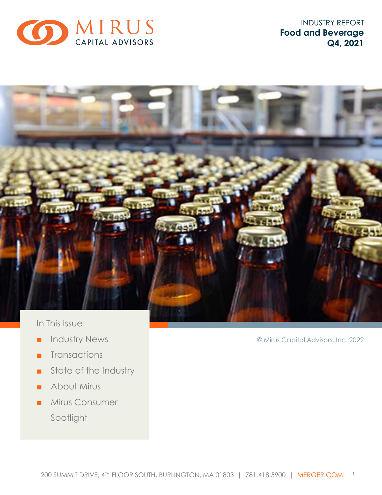

INDUSTRY REPORT **Food and Beverage Q4, 2021**



- Industry News
- Transactions
- State of the Industry
- About Mirus
- Mirus Consumer Spotlight

© Mirus Capital Advisors, Inc. 2022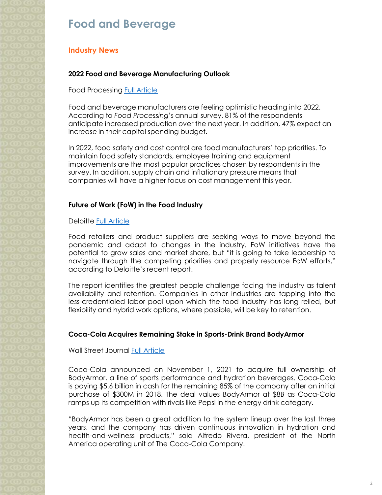# **Food and Beverage**

## **Industry News**

### **2022 Food and Beverage Manufacturing Outlook**

Food Processing [Full Article](https://www.foodprocessing.com/articles/2022/manufacturing-outlook/)

Food and beverage manufacturers are feeling optimistic heading into 2022. According to *Food Processing*'s annual survey, 81% of the respondents anticipate increased production over the next year. In addition, 47% expect an increase in their capital spending budget.

In 2022, food safety and cost control are food manufacturers' top priorities. To maintain food safety standards, employee training and equipment improvements are the most popular practices chosen by respondents in the survey. In addition, supply chain and inflationary pressure means that companies will have a higher focus on cost management this year.

### **Future of Work (FoW) in the Food Industry**

Deloitte [Full Article](https://www2.deloitte.com/us/en/insights/industry/retail-distribution/future-of-food-retail-workforce.html)

Food retailers and product suppliers are seeking ways to move beyond the pandemic and adapt to changes in the industry. FoW initiatives have the potential to grow sales and market share, but "it is going to take leadership to navigate through the competing priorities and properly resource FoW efforts," according to Deloitte's recent report.

The report identifies the greatest people challenge facing the industry as talent availability and retention. Companies in other industries are tapping into the less-credentialed labor pool upon which the food industry has long relied, but flexibility and hybrid work options, where possible, will be key to retention.

### **Coca-Cola Acquires Remaining Stake in Sports-Drink Brand BodyArmor**

Wall Street Journal **[Full Article](https://www.wsj.com/articles/coke-to-pay-5-6-billion-for-full-control-of-bodyarmor-11635713140)** 

Coca-Cola announced on November 1, 2021 to acquire full ownership of BodyArmor, a line of sports performance and hydration beverages. Coca-Cola is paying \$5.6 billion in cash for the remaining 85% of the company after an initial purchase of \$300M in 2018. The deal values BodyArmor at \$8B as Coca-Cola ramps up its competition with rivals like Pepsi in the energy drink category.

"BodyArmor has been a great addition to the system lineup over the last three years, and the company has driven continuous innovation in hydration and health-and-wellness products," said Alfredo Rivera, president of the North America operating unit of The Coca-Cola Company.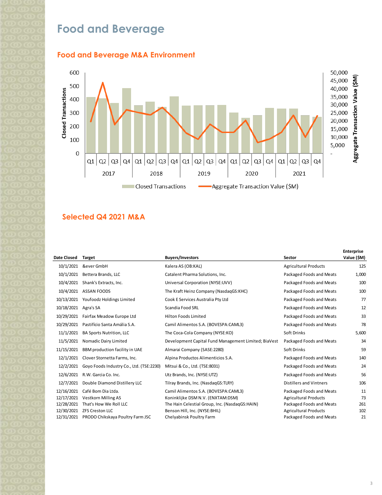# **Food and Beverage**





### **Selected Q4 2021 M&A**

|             |                                          |                                                      |                                | <b>Enterprise</b> |
|-------------|------------------------------------------|------------------------------------------------------|--------------------------------|-------------------|
| Date Closed | <b>Target</b>                            | <b>Buyers/Investors</b>                              | Sector                         | Value (\$M)       |
| 10/1/2021   | &ever GmbH                               | Kalera AS (OB:KAL)                                   | <b>Agricultural Products</b>   | 125               |
| 10/1/2021   | Bettera Brands, LLC                      | Catalent Pharma Solutions, Inc.                      | Packaged Foods and Meats       | 1,000             |
| 10/4/2021   | Shank's Extracts, Inc.                   | Universal Corporation (NYSE:UVV)                     | Packaged Foods and Meats       | 100               |
| 10/4/2021   | <b>ASSAN FOODS</b>                       | The Kraft Heinz Company (NasdaqGS:KHC)               | Packaged Foods and Meats       | 100               |
| 10/13/2021  | Youfoodz Holdings Limited                | Cook E Services Australia Pty Ltd                    | Packaged Foods and Meats       | 77                |
| 10/18/2021  | Agra's SA                                | Scandia Food SRL                                     | Packaged Foods and Meats       | 12                |
| 10/29/2021  | Fairfax Meadow Europe Ltd                | Hilton Foods Limited                                 | Packaged Foods and Meats       | 33                |
| 10/29/2021  | Pastifício Santa Amália S.A.             | Camil Alimentos S.A. (BOVESPA:CAML3)                 | Packaged Foods and Meats       | 78                |
| 11/1/2021   | <b>BA Sports Nutrition, LLC</b>          | The Coca-Cola Company (NYSE:KO)                      | Soft Drinks                    | 5,600             |
| 11/5/2021   | Nomadic Dairy Limited                    | Development Capital Fund Management Limited; BiaVest | Packaged Foods and Meats       | 34                |
| 11/15/2021  | BBM production facility in UAE           | Almarai Company (SASE:2280)                          | Soft Drinks                    | 59                |
| 12/1/2021   | Clover Stornetta Farms, Inc.             | Alpina Productos Alimenticios S.A.                   | Packaged Foods and Meats       | 140               |
| 12/2/2021   | Goyo Foods Industry Co., Ltd. (TSE:2230) | Mitsui & Co., Ltd. (TSE:8031)                        | Packaged Foods and Meats       | 24                |
| 12/6/2021   | R.W. Garcia Co. Inc.                     | Utz Brands, Inc. (NYSE:UTZ)                          | Packaged Foods and Meats       | 56                |
| 12/7/2021   | Double Diamond Distillery LLC            | Tilray Brands, Inc. (NasdagGS:TLRY)                  | <b>Distillers and Vintners</b> | 106               |
| 12/16/2021  | Café Bom Dia Ltda.                       | Camil Alimentos S.A. (BOVESPA:CAML3)                 | Packaged Foods and Meats       | 11                |
| 12/17/2021  | <b>Vestkorn Milling AS</b>               | Koninklijke DSM N.V. (ENXTAM:DSM)                    | <b>Agricultural Products</b>   | 73                |
| 12/28/2021  | That's How We Roll LLC                   | The Hain Celestial Group, Inc. (NasdaqGS:HAIN)       | Packaged Foods and Meats       | 261               |
| 12/30/2021  | <b>ZFS Creston LLC</b>                   | Benson Hill, Inc. (NYSE:BHIL)                        | <b>Agricultural Products</b>   | 102               |
| 12/31/2021  | PRODO Chikskaya Poultry Farm JSC         | Chelyabinsk Poultry Farm                             | Packaged Foods and Meats       | 21                |
|             |                                          |                                                      |                                |                   |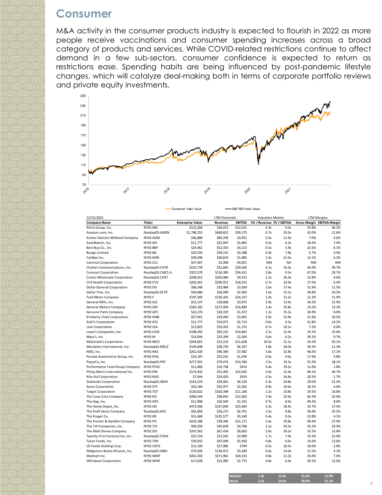# **Consumer**

M&A activity in the consumer products industry is expected to flourish in 2022 as more people receive vaccinations and consumer spending increases across a broad category of products and services. While COVID-related restrictions continue to affect demand in a few sub-sectors, consumer confidence is expected to return as restrictions ease. Spending habits are being influenced by post-pandemic lifestyle changes, which will catalyze deal-making both in terms of corporate portfolio reviews and private equity investments.



-S&P 500 Index Value

Consumer Index Value

| 12/31/2021                        |                 |                         | <b>LTM Financials</b> |               | <b>Valuation Metrics</b> |           | <b>LTM Margins</b>         |           |
|-----------------------------------|-----------------|-------------------------|-----------------------|---------------|--------------------------|-----------|----------------------------|-----------|
| <b>Company Name</b>               | <b>Ticker</b>   | <b>Enterprise Value</b> | Revenue               | <b>EBITDA</b> | EV / Revenue EV / EBITDA |           | Gross Margin EBITDA Margin |           |
| Altria Group, Inc.                | NYSE:MO         | \$112,266               | \$26,013              | \$12,015      | 4.3x                     | 9.3x      | 53.8%                      | 46.2%     |
| Amazon.com, Inc.                  | NasdaqGS:AMZN   | \$1,748,253             | \$469,822             | \$59,175      | 3.7x                     | 29.5x     | 42.0%                      | 12.6%     |
| Archer-Daniels-Midland Company    | NYSE:ADM        | \$46,880                | \$85,249              | \$3,951       | 0.5x                     | 11.9x     | 7.0%                       | 4.6%      |
| AutoNation, Inc.                  | NYSE:AN         | \$11,777                | \$25,047              | \$1,865       | 0.5x                     | 6.3x      | 18.4%                      | 7.4%      |
| Best Buy Co., Inc.                | NYSE:BBY        | \$24,961                | \$52,333              | \$4,213       | 0.5x                     | 5.9x      | 22.6%                      | 8.1%      |
| <b>Bunge Limited</b>              | NYSE:BG         | \$20,193                | \$59,152              | \$2,588       | 0.3x                     | 7.8x      | 5.7%                       | 4.4%      |
| CarMax Inc.                       | NYSE:KMX        | \$39,596                | \$30,633              | \$1,885       | 1.3x                     | 21.0x     | 13.1%                      | 6.2%      |
| Carnival Corporation              | NYSE:CCL        | \$47,407                | \$1,908               | $-54,051$     | <b>NM</b>                | <b>NA</b> | <b>NM</b>                  | <b>NM</b> |
| Charter Communications, Inc.      | NasdaqGS:CHTR   | \$210,778               | \$51,682              | \$20,505      | 4.1x                     | 10.3x     | 45.0%                      | 39.7%     |
| <b>Comcast Corporation</b>        | NasdaqGS:CMCS.A | \$322,578               | \$116,385             | \$34,621      | 2.8x                     | 9.3x      | 67.0%                      | 29.7%     |
| Costco Wholesale Corporation      | NasdaqGS:COST   | \$248,913               | \$203,084             | \$9,413       | 1.2x                     | 26.4x     | 12.8%                      | 4.6%      |
| <b>CVS Health Corporation</b>     | NYSE:CVS        | \$202,401               | \$290,912             | \$18,552      | 0.7x                     | 10.9x     | 17.5%                      | 6.4%      |
| <b>Dollar General Corporation</b> | NYSE:DG         | \$68,248                | \$33,984              | \$3,924       | 2.0x                     | 17.4x     | 31.9%                      | 11.5%     |
| Dollar Tree, Inc.                 | NasdaqGS:DLTR   | \$40,680                | \$26,009              | \$2,683       | 1.6x                     | 15.2x     | 29.8%                      | 10.3%     |
| Ford Motor Company                | NYSE:F          | \$197,569               | \$136,341             | \$16,227      | 1.4x                     | 12.2x     | 12.1%                      | 11.9%     |
| General Mills, Inc.               | NYSE:GIS        | \$53,137                | \$18,608              | \$3,975       | 2.9x                     | 13.4x     | 34.2%                      | 21.4%     |
| General Motors Company            | NYSE:GM         | \$182,182               | \$127,004             | \$16,894      | 1.4x                     | 10.8x     | 14.2%                      | 13.3%     |
| Genuine Parts Company             | NYSE:GPC        | \$22,276                | \$18,319              | \$1,472       | 1.2x                     | 15.1x     | 34.9%                      | 8.0%      |
| Kimberly-Clark Corporation        | NYSE:KMB        | \$57,041                | \$19,440              | \$3,602       | 2.9x                     | 15.8x     | 31.6%                      | 18.5%     |
| Kohl's Corporation                | NYSE:KSS        | \$11,777                | \$19,075              | \$2,714       | 0.6x                     | 4.3x      | 41.8%                      | 14.2%     |
| Lear Corporation                  | NYSE:LEA        | \$12,823                | \$19,263              | \$1,272       | 0.7x                     | 10.1x     | 7.2%                       | 6.6%      |
| Lowe's Companies, Inc.            | NYSE:LOW        | \$198,392               | \$95,222              | \$14,842      | 2.1x                     | 13.4x     | 33.1%                      | 15.6%     |
| Macy's, Inc.                      | NYSE:M          | \$14,044                | \$23,399              | \$2,260       | 0.6x                     | 6.2x      | 39.1%                      | 9.7%      |
| McDonald's Corporation            | NYSE:MCD        | \$244,822               | \$23,223              | \$11,628      | 10.5x                    | 21.1x     | 54.2%                      | 50.1%     |
| Mondelez International, Inc.      | NasdaqGS:MDLZ   | \$109,648               | \$28,720              | \$6,107       | 3.8x                     | 18.0x     | 39.2%                      | 21.3%     |
| NIKE, Inc.                        | NYSE:NKE        | \$261,428               | \$46,306              | \$7,982       | 5.6x                     | 32.8x     | 46.0%                      | 17.2%     |
| Penske Automotive Group, Inc.     | NYSE:PAG        | \$14,197                | \$25,555              | \$1,476       | 0.6x                     | 9.6x      | 17.4%                      | 5.8%      |
| PepsiCo, Inc.                     | NasdagGS:PEP    | \$277,501               | \$79,474              | \$14,394      | 3.5x                     | 19.3x     | 53.3%                      | 18.1%     |
| Performance Food Group Company    | NYSE:PFGC       | \$11,809                | \$33,738              | \$614         | 0.4x                     | 19.2x     | 11.6%                      | 1.8%      |
| Philip Morris International Inc.  | NYSE:PM         | \$174,432               | \$31,405              | \$14,035      | 5.6x                     | 12.4x     | 68.1%                      | 44.7%     |
| Rite Aid Corporation              | NYSE:RAD        | \$7,044                 | \$24,420              | \$419         | 0.3x                     | 16.8x     | 20.5%                      | 1.7%      |
| <b>Starbucks Corporation</b>      | NasdaqGS:SBUX   | \$154,224               | \$29,061              | \$6,226       | 5.3x                     | 24.8x     | 29.0%                      | 21.4%     |
| <b>Sysco Corporation</b>          | NYSE:SYY        | \$50,160                | \$55,977              | \$2,562       | 0.9x                     | 19.6x     | 18.1%                      | 4.6%      |
| <b>Target Corporation</b>         | NYSE:TGT        | \$120,622               | \$103,348             | \$11,166      | 1.2x                     | 10.8x     | 29.5%                      | 10.8%     |
| The Coca-Cola Company             | NYSE:KO         | \$284,544               | \$38,655              | \$12,602      | 7.4x                     | 22.6x     | 60.3%                      | 32.6%     |
| The Gap, Inc.                     | NYSE:GPS        | \$11,908                | \$16,569              | \$1,331       | 0.7x                     | 8.9x      | 49.2%                      | 8.0%      |
| The Home Depot, Inc.              | NYSE:HD         | \$473,568               | \$147,699             | \$25,694      | 3.2x                     | 18.4x     | 33.7%                      | 17.4%     |
| The Kraft Heinz Company           | NasdaqGS:KHC    | \$65,894                | \$26,272              | \$6,701       | 2.5x                     | 9.8x      | 34.4%                      | 25.5%     |
| The Kroger Co.                    | NYSE:KR         | \$51,668                | \$135,577             | \$5,549       | 0.4x                     | 9.3x      | 22.8%                      | 4.1%      |
| The Procter & Gamble Company      | NYSE:PG         | \$419,188               | \$78,346              | \$21,171      | 5.4x                     | 19.8x     | 49.4%                      | 27.0%     |
| The TJX Companies, Inc.           | NYSE:TJX        | \$96,593                | \$45,639              | \$4,706       | 2.1x                     | 20.5x     | 35.2%                      | 10.3%     |
| The Walt Disney Company           | NYSE:DIS        | \$337,562               | \$67,418              | \$8,603       | 5.0x                     | 39.2x     | 33.1%                      | 12.8%     |
| Twenty-First Century Fox, Inc.    | NasdaqGS:FOXA   | \$23,724                | \$13,591              | \$2,990       | 1.7x                     | 7.9x      | 35.5%                      | 22.0%     |
| Tyson Foods, Inc.                 | NYSE:TSN        | \$39,032                | \$47,049              | \$5,950       | 0.8x                     | 6.6x      | 14.6%                      | 12.6%     |
| US Foods Holding Corp.            | NYSE:USFD       | \$13,100                | \$27,986              | \$794         | 0.5x                     | 16.5x     | 16.0%                      | 2.8%      |
| Walgreens Boots Alliance, Inc.    | NasdaqGS:WBA    | \$79,026                | \$134,972             | \$5,649       | 0.6x                     | 14.0x     | 21.5%                      | 4.2%      |
| Walmart Inc.                      | NYSE: WMT       | \$452,202               | \$571,962             | \$40,313      | 0.8x                     | 11.2x     | 25.0%                      | 7.0%      |
| <b>Whirlpool Corporation</b>      | NYSE:WHR        | \$17,628                | \$21,985              | \$2,775       | 0.8x                     | 6.4x      | 20.1%                      | 12.6%     |

| <b>Mean</b><br>15.1%<br>2.3x<br>30.9%<br>14.9x | Median | 1.4x | 13.4x | 31.6% | 11.9% |
|------------------------------------------------|--------|------|-------|-------|-------|
|                                                |        |      |       |       |       |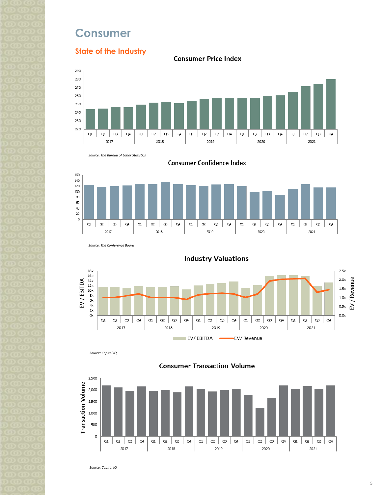# **Consumer**

## **State of the Industry**

**Consumer Price Index** 







**Consumer Confidence Index** 

*Source: The Conference Board*



**Industry Valuations** 

*Source: Capital IQ*



**Consumer Transaction Volume** 

*Source: Capital IQ*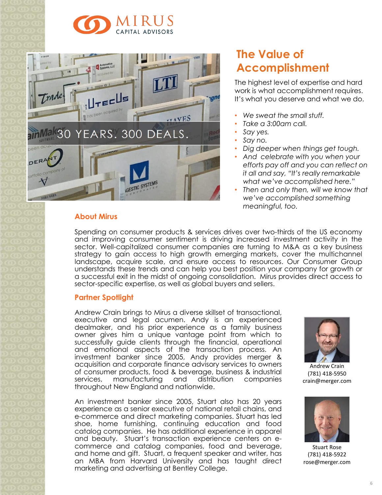



### **About Mirus**

# **The Value of Accomplishment**

The highest level of expertise and hard work is what accomplishment requires. It's what you deserve and what we do.

- *We sweat the small stuff.*
- *Take a 3:00am call.*
- *Say yes.*
- *Say no.*
- *Dig deeper when things get tough.*
- *And celebrate with you when your efforts pay off and you can reflect on it all and say, "It's really remarkable what we've accomplished here."*
- *Then and only then, will we know that we've accomplished something meaningful, too.*

Spending on consumer products & services drives over two-thirds of the US economy and improving consumer sentiment is driving increased investment activity in the sector. Well-capitalized consumer companies are turning to M&A as a key business strategy to gain access to high growth emerging markets, cover the multichannel landscape, acquire scale, and ensure access to resources. Our Consumer Group understands these trends and can help you best position your company for growth or a successful exit in the midst of ongoing consolidation. Mirus provides direct access to sector-specific expertise, as well as global buyers and sellers.

### **Partner Spotlight**

Andrew Crain brings to Mirus a diverse skillset of transactional, executive and legal acumen. Andy is an experienced dealmaker, and his prior experience as a family business owner gives him a unique vantage point from which to successfully guide clients through the financial, operational and emotional aspects of the transaction process. An investment banker since 2005, Andy provides merger & acquisition and corporate finance advisory services to owners of consumer products, food & beverage, business & industrial services, manufacturing and distribution companies throughout New England and nationwide.

An investment banker since 2005, Stuart also has 20 years experience as a senior executive of national retail chains, and e-commerce and direct marketing companies. Stuart has led shoe, home furnishing, continuing education and food catalog companies. He has additional experience in apparel and beauty. Stuart's transaction experience centers on ecommerce and catalog companies, food and beverage, and home and gift. Stuart, a frequent speaker and writer, has an MBA from Harvard University and has taught direct marketing and advertising at Bentley College.



Andrew Crain (781) 418-5950 crain@merger.com



Stuart Rose (781) 418-5922 rose@merger.com